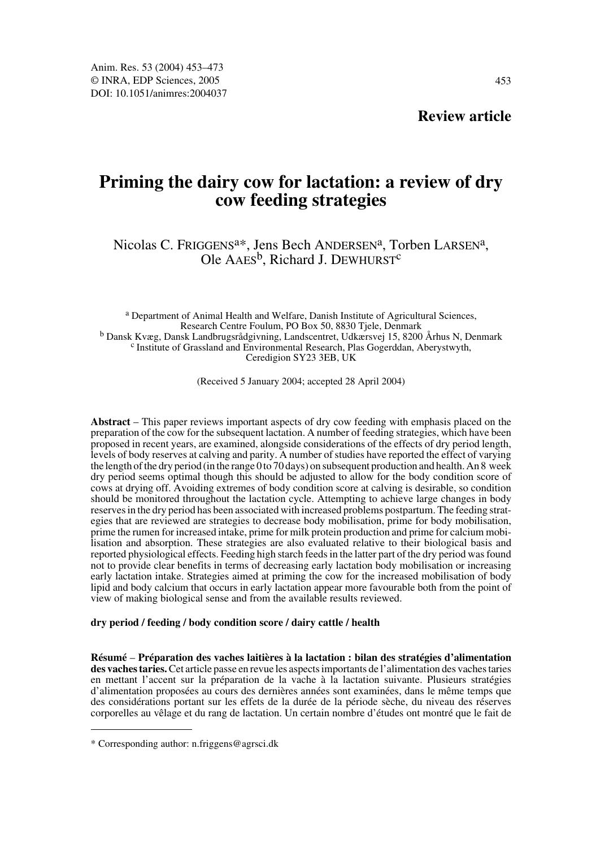# **Priming the dairy cow for lactation: a review of dry cow feeding strategies**

Nicolas C. FRIGGENS<sup>a\*</sup>, Jens Bech ANDERSEN<sup>a</sup>, Torben LARSEN<sup>a</sup>, Ole AAES<sup>b</sup>, Richard J. DEWHURST<sup>c</sup>

a Department of Animal Health and Welfare, Danish Institute of Agricultural Sciences, <sup>b</sup> Dansk Kvæg, Dansk Landbrugsrådgivning, Landscentret, Udkærsvej 15, 8200 Århus N, Denmark <sup>c</sup> Institute of Grassland and Environmental Research, Plas Gogerddan, Aberystwyth, Ceredigion SY23 3EB, UK

(Received 5 January 2004; accepted 28 April 2004)

**Abstract** – This paper reviews important aspects of dry cow feeding with emphasis placed on the preparation of the cow for the subsequent lactation. A number of feeding strategies, which have been proposed in recent years, are examined, alongside considerations of the effects of dry period length, levels of body reserves at calving and parity. A number of studies have reported the effect of varying the length of the dry period (in the range 0 to 70 days) on subsequent production and health. An 8 week dry period seems optimal though this should be adjusted to allow for the body condition score of cows at drying off. Avoiding extremes of body condition score at calving is desirable, so condition should be monitored throughout the lactation cycle. Attempting to achieve large changes in body reserves in the dry period has been associated with increased problems postpartum. The feeding strategies that are reviewed are strategies to decrease body mobilisation, prime for body mobilisation, prime the rumen for increased intake, prime for milk protein production and prime for calcium mobilisation and absorption. These strategies are also evaluated relative to their biological basis and reported physiological effects. Feeding high starch feeds in the latter part of the dry period was found not to provide clear benefits in terms of decreasing early lactation body mobilisation or increasing early lactation intake. Strategies aimed at priming the cow for the increased mobilisation of body lipid and body calcium that occurs in early lactation appear more favourable both from the point of view of making biological sense and from the available results reviewed.

#### **dry period / feeding / body condition score / dairy cattle / health**

**Résumé** – **Préparation des vaches laitières à la lactation : bilan des stratégies d'alimentation des vaches taries.** Cet article passe en revue les aspects importants de l'alimentation des vaches taries en mettant l'accent sur la préparation de la vache à la lactation suivante. Plusieurs stratégies d'alimentation proposées au cours des dernières années sont examinées, dans le même temps que des considérations portant sur les effets de la durée de la période sèche, du niveau des réserves corporelles au vêlage et du rang de lactation. Un certain nombre d'études ont montré que le fait de

<sup>\*</sup> Corresponding author: n.friggens@agrsci.dk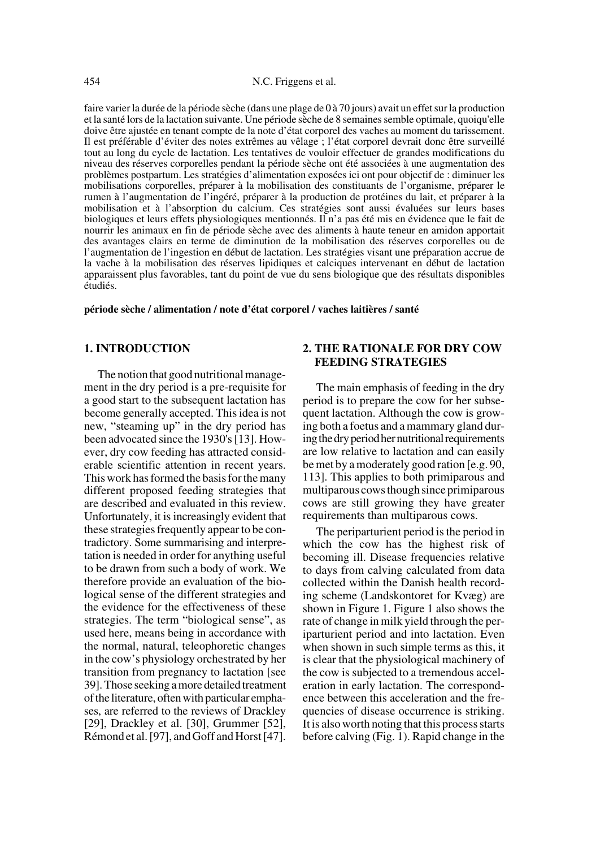faire varier la durée de la période sèche (dans une plage de 0 à 70 jours) avait un effet sur la production et la santé lors de la lactation suivante. Une période sèche de 8 semaines semble optimale, quoiqu'elle doive être ajustée en tenant compte de la note d'état corporel des vaches au moment du tarissement. Il est préférable d'éviter des notes extrêmes au vêlage ; l'état corporel devrait donc être surveillé tout au long du cycle de lactation. Les tentatives de vouloir effectuer de grandes modifications du niveau des réserves corporelles pendant la période sèche ont été associées à une augmentation des problèmes postpartum. Les stratégies d'alimentation exposées ici ont pour objectif de : diminuer les mobilisations corporelles, préparer à la mobilisation des constituants de l'organisme, préparer le rumen à l'augmentation de l'ingéré, préparer à la production de protéines du lait, et préparer à la mobilisation et à l'absorption du calcium. Ces stratégies sont aussi évaluées sur leurs bases biologiques et leurs effets physiologiques mentionnés. Il n'a pas été mis en évidence que le fait de nourrir les animaux en fin de période sèche avec des aliments à haute teneur en amidon apportait des avantages clairs en terme de diminution de la mobilisation des réserves corporelles ou de l'augmentation de l'ingestion en début de lactation. Les stratégies visant une préparation accrue de la vache à la mobilisation des réserves lipidiques et calciques intervenant en début de lactation apparaissent plus favorables, tant du point de vue du sens biologique que des résultats disponibles étudiés.

**période sèche / alimentation / note d'état corporel / vaches laitières / santé**

## **1. INTRODUCTION**

The notion that good nutritional management in the dry period is a pre-requisite for a good start to the subsequent lactation has become generally accepted. This idea is not new, "steaming up" in the dry period has been advocated since the 1930's [13]. However, dry cow feeding has attracted considerable scientific attention in recent years. This work has formed the basis for the many different proposed feeding strategies that are described and evaluated in this review. Unfortunately, it is increasingly evident that these strategies frequently appear to be contradictory. Some summarising and interpretation is needed in order for anything useful to be drawn from such a body of work. We therefore provide an evaluation of the biological sense of the different strategies and the evidence for the effectiveness of these strategies. The term "biological sense", as used here, means being in accordance with the normal, natural, teleophoretic changes in the cow's physiology orchestrated by her transition from pregnancy to lactation [see 39]. Those seeking a more detailed treatment of the literature, often with particular emphases, are referred to the reviews of Drackley [29], Drackley et al. [30], Grummer [52], Rémond et al. [97], and Goff and Horst [47].

# **2. THE RATIONALE FOR DRY COW FEEDING STRATEGIES**

The main emphasis of feeding in the dry period is to prepare the cow for her subsequent lactation. Although the cow is growing both a foetus and a mammary gland during the dry period her nutritional requirements are low relative to lactation and can easily be met by a moderately good ration [e.g. 90, 113]. This applies to both primiparous and multiparous cows though since primiparous cows are still growing they have greater requirements than multiparous cows.

The periparturient period is the period in which the cow has the highest risk of becoming ill. Disease frequencies relative to days from calving calculated from data collected within the Danish health recording scheme (Landskontoret for Kvæg) are shown in Figure 1. Figure 1 also shows the rate of change in milk yield through the periparturient period and into lactation. Even when shown in such simple terms as this, it is clear that the physiological machinery of the cow is subjected to a tremendous acceleration in early lactation. The correspondence between this acceleration and the frequencies of disease occurrence is striking. It is also worth noting that this process starts before calving (Fig. 1). Rapid change in the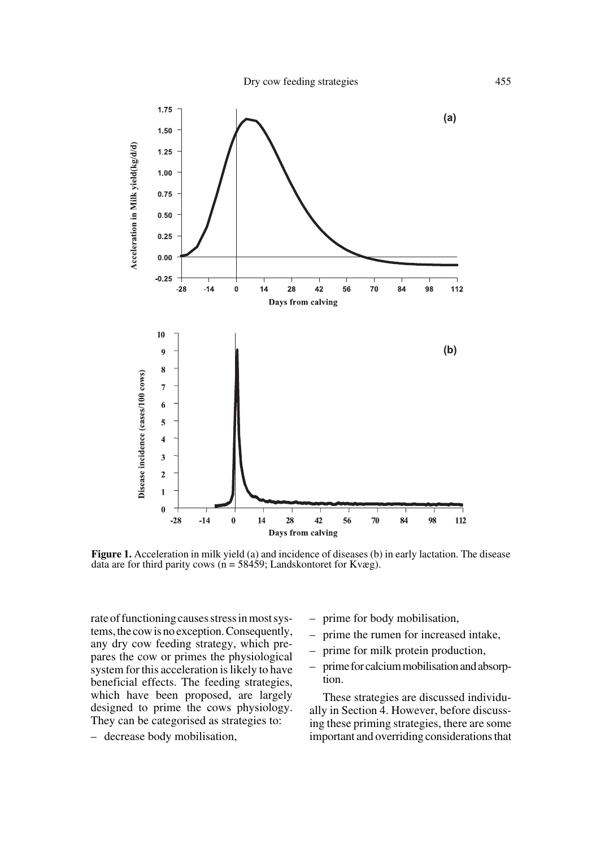

**Figure 1.** Acceleration in milk yield (a) and incidence of diseases (b) in early lactation. The disease data are for third parity cows ( $n = 58459$ ; Landskontoret for Kvæg).

rate of functioning causes stress in most systems, the cow is no exception. Consequently, any dry cow feeding strategy, which prepares the cow or primes the physiological system for this acceleration is likely to have beneficial effects. The feeding strategies, which have been proposed, are largely designed to prime the cows physiology. They can be categorised as strategies to:

– decrease body mobilisation,

- prime for body mobilisation,
- prime the rumen for increased intake,
- prime for milk protein production,
- prime for calcium mobilisation and absorption.

These strategies are discussed individually in Section 4. However, before discussing these priming strategies, there are some important and overriding considerations that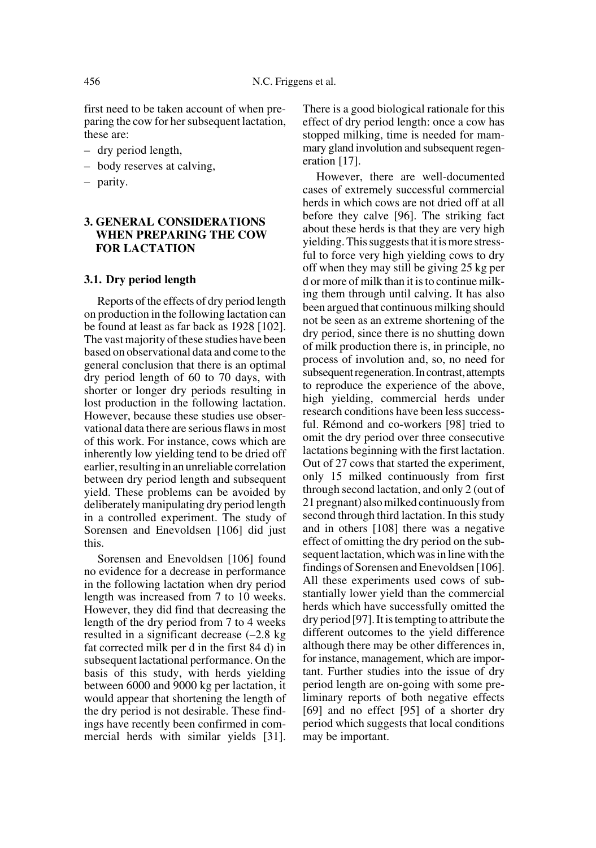first need to be taken account of when preparing the cow for her subsequent lactation, these are:

- dry period length,
- body reserves at calving,
- parity.

# **3. GENERAL CONSIDERATIONS WHEN PREPARING THE COW FOR LACTATION**

#### **3.1. Dry period length**

Reports of the effects of dry period length on production in the following lactation can be found at least as far back as 1928 [102]. The vast majority of these studies have been based on observational data and come to the general conclusion that there is an optimal dry period length of 60 to 70 days, with shorter or longer dry periods resulting in lost production in the following lactation. However, because these studies use observational data there are serious flaws in most of this work. For instance, cows which are inherently low yielding tend to be dried off earlier, resulting in an unreliable correlation between dry period length and subsequent yield. These problems can be avoided by deliberately manipulating dry period length in a controlled experiment. The study of Sorensen and Enevoldsen [106] did just this.

Sorensen and Enevoldsen [106] found no evidence for a decrease in performance in the following lactation when dry period length was increased from 7 to 10 weeks. However, they did find that decreasing the length of the dry period from 7 to 4 weeks resulted in a significant decrease (–2.8 kg fat corrected milk per d in the first 84 d) in subsequent lactational performance. On the basis of this study, with herds yielding between 6000 and 9000 kg per lactation, it would appear that shortening the length of the dry period is not desirable. These findings have recently been confirmed in commercial herds with similar yields [31].

There is a good biological rationale for this effect of dry period length: once a cow has stopped milking, time is needed for mammary gland involution and subsequent regeneration [17].

However, there are well-documented cases of extremely successful commercial herds in which cows are not dried off at all before they calve [96]. The striking fact about these herds is that they are very high yielding. This suggests that it is more stressful to force very high yielding cows to dry off when they may still be giving 25 kg per d or more of milk than it is to continue milking them through until calving. It has also been argued that continuous milking should not be seen as an extreme shortening of the dry period, since there is no shutting down of milk production there is, in principle, no process of involution and, so, no need for subsequent regeneration. In contrast, attempts to reproduce the experience of the above, high yielding, commercial herds under research conditions have been less successful. Rémond and co-workers [98] tried to omit the dry period over three consecutive lactations beginning with the first lactation. Out of 27 cows that started the experiment, only 15 milked continuously from first through second lactation, and only 2 (out of 21 pregnant) also milked continuously from second through third lactation. In this study and in others [108] there was a negative effect of omitting the dry period on the subsequent lactation, which was in line with the findings of Sorensen and Enevoldsen [106]. All these experiments used cows of substantially lower yield than the commercial herds which have successfully omitted the dry period [97]. It is tempting to attribute the different outcomes to the yield difference although there may be other differences in, for instance, management, which are important. Further studies into the issue of dry period length are on-going with some preliminary reports of both negative effects [69] and no effect [95] of a shorter dry period which suggests that local conditions may be important.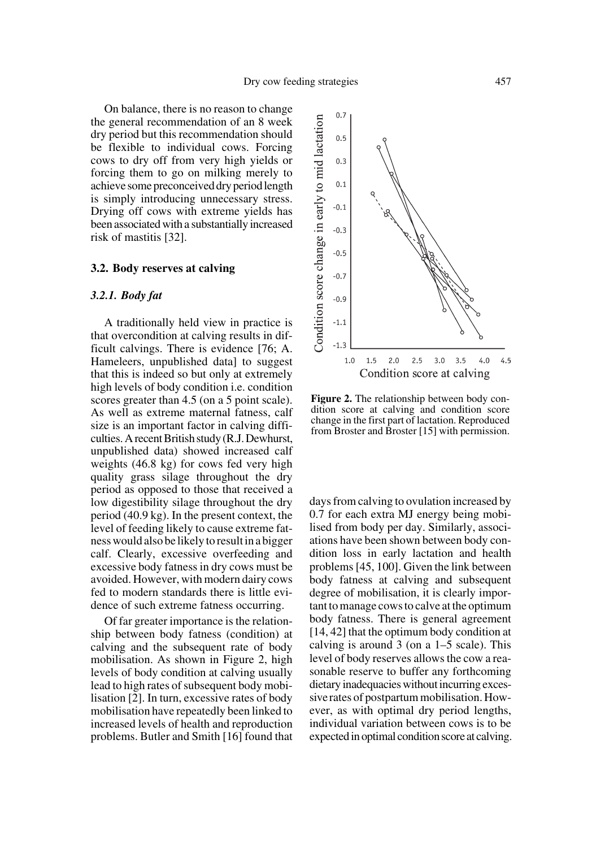On balance, there is no reason to change the general recommendation of an 8 week dry period but this recommendation should be flexible to individual cows. Forcing cows to dry off from very high yields or forcing them to go on milking merely to achieve some preconceived dry period length is simply introducing unnecessary stress. Drying off cows with extreme yields has been associated with a substantially increased risk of mastitis [32].

#### **3.2. Body reserves at calving**

#### *3.2.1. Body fat*

A traditionally held view in practice is that overcondition at calving results in difficult calvings. There is evidence [76; A. Hameleers, unpublished data] to suggest that this is indeed so but only at extremely high levels of body condition i.e. condition scores greater than 4.5 (on a 5 point scale). As well as extreme maternal fatness, calf size is an important factor in calving difficulties. A recent British study (R.J. Dewhurst, unpublished data) showed increased calf weights (46.8 kg) for cows fed very high quality grass silage throughout the dry period as opposed to those that received a low digestibility silage throughout the dry period (40.9 kg). In the present context, the level of feeding likely to cause extreme fatness would also be likely to result in a bigger calf. Clearly, excessive overfeeding and excessive body fatness in dry cows must be avoided. However, with modern dairy cows fed to modern standards there is little evidence of such extreme fatness occurring.

Of far greater importance is the relationship between body fatness (condition) at calving and the subsequent rate of body mobilisation. As shown in Figure 2, high levels of body condition at calving usually lead to high rates of subsequent body mobilisation [2]. In turn, excessive rates of body mobilisation have repeatedly been linked to increased levels of health and reproduction problems. Butler and Smith [16] found that



**Figure 2.** The relationship between body condition score at calving and condition score change in the first part of lactation. Reproduced from Broster and Broster [15] with permission.

days from calving to ovulation increased by 0.7 for each extra MJ energy being mobilised from body per day. Similarly, associations have been shown between body condition loss in early lactation and health problems [45, 100]. Given the link between body fatness at calving and subsequent degree of mobilisation, it is clearly important to manage cows to calve at the optimum body fatness. There is general agreement [14, 42] that the optimum body condition at calving is around 3 (on a 1–5 scale). This level of body reserves allows the cow a reasonable reserve to buffer any forthcoming dietary inadequacies without incurring excessive rates of postpartum mobilisation. However, as with optimal dry period lengths, individual variation between cows is to be expected in optimal condition score at calving.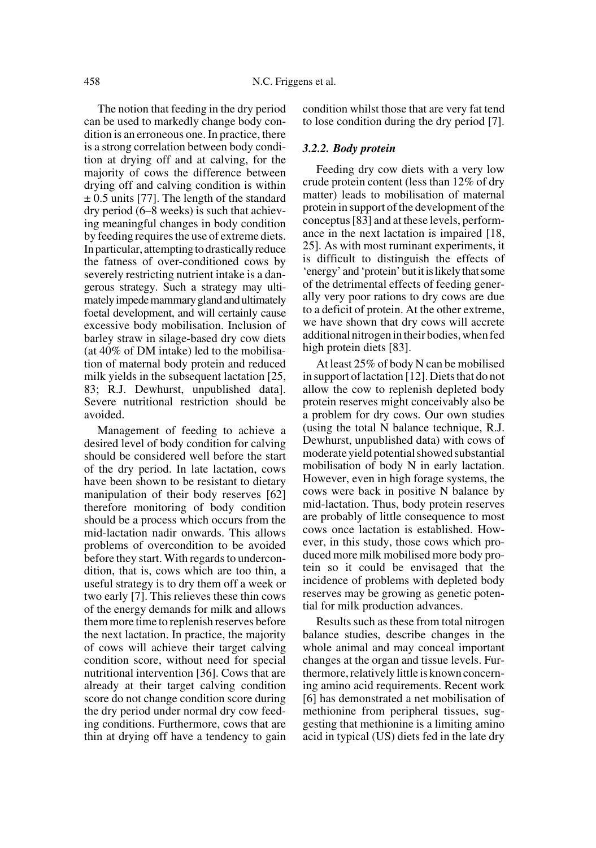The notion that feeding in the dry period can be used to markedly change body condition is an erroneous one. In practice, there is a strong correlation between body condition at drying off and at calving, for the majority of cows the difference between drying off and calving condition is within  $\pm$  0.5 units [77]. The length of the standard dry period (6–8 weeks) is such that achieving meaningful changes in body condition by feeding requires the use of extreme diets. In particular, attempting to drastically reduce the fatness of over-conditioned cows by severely restricting nutrient intake is a dangerous strategy. Such a strategy may ultimately impede mammary gland and ultimately foetal development, and will certainly cause excessive body mobilisation. Inclusion of barley straw in silage-based dry cow diets (at 40% of DM intake) led to the mobilisation of maternal body protein and reduced milk yields in the subsequent lactation [25, 83; R.J. Dewhurst, unpublished data]. Severe nutritional restriction should be avoided.

Management of feeding to achieve a desired level of body condition for calving should be considered well before the start of the dry period. In late lactation, cows have been shown to be resistant to dietary manipulation of their body reserves [62] therefore monitoring of body condition should be a process which occurs from the mid-lactation nadir onwards. This allows problems of overcondition to be avoided before they start. With regards to undercondition, that is, cows which are too thin, a useful strategy is to dry them off a week or two early [7]. This relieves these thin cows of the energy demands for milk and allows them more time to replenish reserves before the next lactation. In practice, the majority of cows will achieve their target calving condition score, without need for special nutritional intervention [36]. Cows that are already at their target calving condition score do not change condition score during the dry period under normal dry cow feeding conditions. Furthermore, cows that are thin at drying off have a tendency to gain condition whilst those that are very fat tend to lose condition during the dry period [7].

## *3.2.2. Body protein*

Feeding dry cow diets with a very low crude protein content (less than 12% of dry matter) leads to mobilisation of maternal protein in support of the development of the conceptus [83] and at these levels, performance in the next lactation is impaired [18, 25]. As with most ruminant experiments, it is difficult to distinguish the effects of 'energy' and 'protein' but it is likely that some of the detrimental effects of feeding generally very poor rations to dry cows are due to a deficit of protein. At the other extreme, we have shown that dry cows will accrete additional nitrogen in their bodies, when fed high protein diets [83].

At least 25% of body N can be mobilised in support of lactation [12]. Diets that do not allow the cow to replenish depleted body protein reserves might conceivably also be a problem for dry cows. Our own studies (using the total N balance technique, R.J. Dewhurst, unpublished data) with cows of moderate yield potential showed substantial mobilisation of body N in early lactation. However, even in high forage systems, the cows were back in positive N balance by mid-lactation. Thus, body protein reserves are probably of little consequence to most cows once lactation is established. However, in this study, those cows which produced more milk mobilised more body protein so it could be envisaged that the incidence of problems with depleted body reserves may be growing as genetic potential for milk production advances.

Results such as these from total nitrogen balance studies, describe changes in the whole animal and may conceal important changes at the organ and tissue levels. Furthermore, relatively little is known concerning amino acid requirements. Recent work [6] has demonstrated a net mobilisation of methionine from peripheral tissues, suggesting that methionine is a limiting amino acid in typical (US) diets fed in the late dry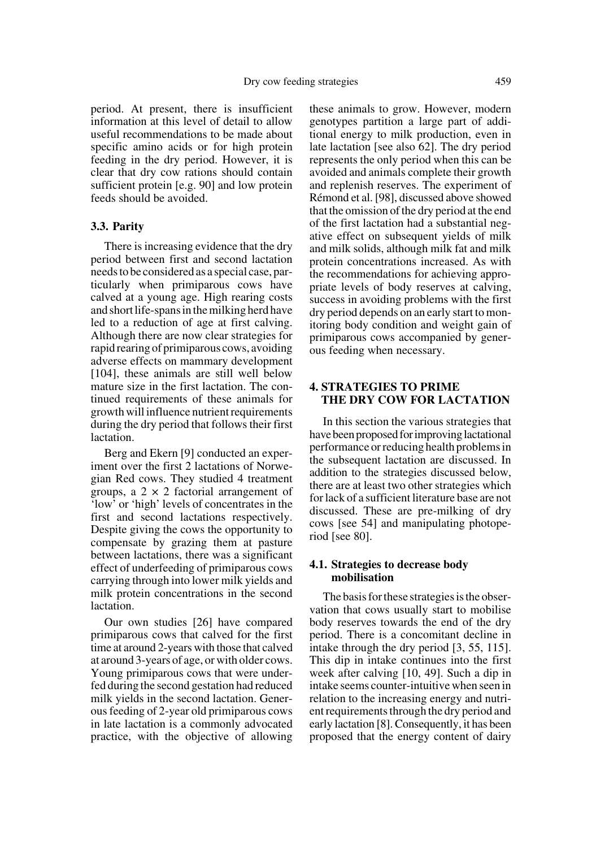period. At present, there is insufficient information at this level of detail to allow useful recommendations to be made about specific amino acids or for high protein feeding in the dry period. However, it is clear that dry cow rations should contain sufficient protein [e.g. 90] and low protein feeds should be avoided.

# **3.3. Parity**

There is increasing evidence that the dry period between first and second lactation needs to be considered as a special case, particularly when primiparous cows have calved at a young age. High rearing costs and short life-spans in the milking herd have led to a reduction of age at first calving. Although there are now clear strategies for rapid rearing of primiparous cows, avoiding adverse effects on mammary development [104], these animals are still well below mature size in the first lactation. The continued requirements of these animals for growth will influence nutrient requirements during the dry period that follows their first lactation.

Berg and Ekern [9] conducted an experiment over the first 2 lactations of Norwegian Red cows. They studied 4 treatment groups, a  $2 \times 2$  factorial arrangement of 'low' or 'high' levels of concentrates in the first and second lactations respectively. Despite giving the cows the opportunity to compensate by grazing them at pasture between lactations, there was a significant effect of underfeeding of primiparous cows carrying through into lower milk yields and milk protein concentrations in the second lactation.

Our own studies [26] have compared primiparous cows that calved for the first time at around 2-years with those that calved at around 3-years of age, or with older cows. Young primiparous cows that were underfed during the second gestation had reduced milk yields in the second lactation. Generous feeding of 2-year old primiparous cows in late lactation is a commonly advocated practice, with the objective of allowing these animals to grow. However, modern genotypes partition a large part of additional energy to milk production, even in late lactation [see also 62]. The dry period represents the only period when this can be avoided and animals complete their growth and replenish reserves. The experiment of Rémond et al. [98], discussed above showed that the omission of the dry period at the end of the first lactation had a substantial negative effect on subsequent yields of milk and milk solids, although milk fat and milk protein concentrations increased. As with the recommendations for achieving appropriate levels of body reserves at calving, success in avoiding problems with the first dry period depends on an early start to monitoring body condition and weight gain of primiparous cows accompanied by generous feeding when necessary.

# **4. STRATEGIES TO PRIME THE DRY COW FOR LACTATION**

In this section the various strategies that have been proposed for improving lactational performance or reducing health problems in the subsequent lactation are discussed. In addition to the strategies discussed below, there are at least two other strategies which for lack of a sufficient literature base are not discussed. These are pre-milking of dry cows [see 54] and manipulating photoperiod [see 80].

## **4.1. Strategies to decrease body mobilisation**

The basis for these strategies is the observation that cows usually start to mobilise body reserves towards the end of the dry period. There is a concomitant decline in intake through the dry period [3, 55, 115]. This dip in intake continues into the first week after calving [10, 49]. Such a dip in intake seems counter-intuitive when seen in relation to the increasing energy and nutrient requirements through the dry period and early lactation [8]. Consequently, it has been proposed that the energy content of dairy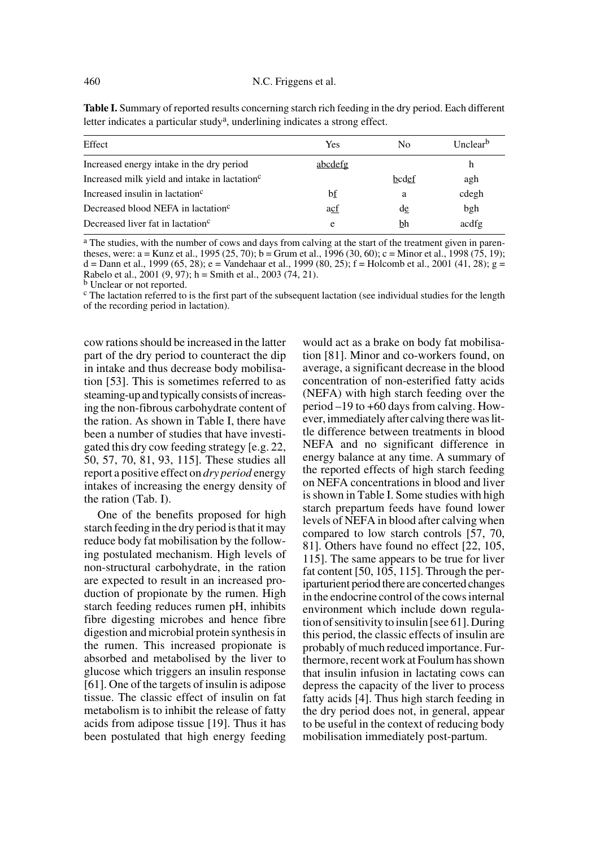| Table I. Summary of reported results concerning starch rich feeding in the dry period. Each different |  |
|-------------------------------------------------------------------------------------------------------|--|
| letter indicates a particular study <sup>a</sup> , underlining indicates a strong effect.             |  |

| Effect                                                    | Yes     | No    | Unclear <sup>b</sup> |
|-----------------------------------------------------------|---------|-------|----------------------|
| Increased energy intake in the dry period                 | abcdefg |       | h                    |
| Increased milk yield and intake in lactation <sup>c</sup> |         | bcdef | agh                  |
| Increased insulin in lactation <sup>c</sup>               | bf      | a     | cdegh                |
| Decreased blood NEFA in lactation <sup>c</sup>            | acf     | de    | bgh                  |
| Decreased liver fat in lactation <sup>c</sup>             | e       | bh    | acdfg                |

<sup>a</sup> The studies, with the number of cows and days from calving at the start of the treatment given in parentheses, were: a = Kunz et al., 1995 (25, 70); b = Grum et al., 1996 (30, 60); c = Minor et al., 1998 (75, 19); d = Dann et al., 1999 (65, 28); e = Vandehaar et al., 1999 (80, 25); f = Holcomb et al., 2001 (41, 28); g = Rabelo et al., 2001 (9, 97); h = Smith et al., 2003 (74, 21).

b Unclear or not reported.

c The lactation referred to is the first part of the subsequent lactation (see individual studies for the length of the recording period in lactation).

cow rations should be increased in the latter part of the dry period to counteract the dip in intake and thus decrease body mobilisation [53]. This is sometimes referred to as steaming-up and typically consists of increasing the non-fibrous carbohydrate content of the ration. As shown in Table I, there have been a number of studies that have investigated this dry cow feeding strategy [e.g. 22, 50, 57, 70, 81, 93, 115]. These studies all report a positive effect on *dry period* energy intakes of increasing the energy density of the ration (Tab. I).

One of the benefits proposed for high starch feeding in the dry period is that it may reduce body fat mobilisation by the following postulated mechanism. High levels of non-structural carbohydrate, in the ration are expected to result in an increased production of propionate by the rumen. High starch feeding reduces rumen pH, inhibits fibre digesting microbes and hence fibre digestion and microbial protein synthesis in the rumen. This increased propionate is absorbed and metabolised by the liver to glucose which triggers an insulin response [61]. One of the targets of insulin is adipose tissue. The classic effect of insulin on fat metabolism is to inhibit the release of fatty acids from adipose tissue [19]. Thus it has been postulated that high energy feeding would act as a brake on body fat mobilisation [81]. Minor and co-workers found, on average, a significant decrease in the blood concentration of non-esterified fatty acids (NEFA) with high starch feeding over the period –19 to +60 days from calving. However, immediately after calving there was little difference between treatments in blood NEFA and no significant difference in energy balance at any time. A summary of the reported effects of high starch feeding on NEFA concentrations in blood and liver is shown in Table I. Some studies with high starch prepartum feeds have found lower levels of NEFA in blood after calving when compared to low starch controls [57, 70, 81]. Others have found no effect [22, 105, 115]. The same appears to be true for liver fat content [50, 105, 115]. Through the periparturient period there are concerted changes in the endocrine control of the cows internal environment which include down regulation of sensitivity to insulin [see 61]. During this period, the classic effects of insulin are probably of much reduced importance. Furthermore, recent work at Foulum has shown that insulin infusion in lactating cows can depress the capacity of the liver to process fatty acids [4]. Thus high starch feeding in the dry period does not, in general, appear to be useful in the context of reducing body mobilisation immediately post-partum.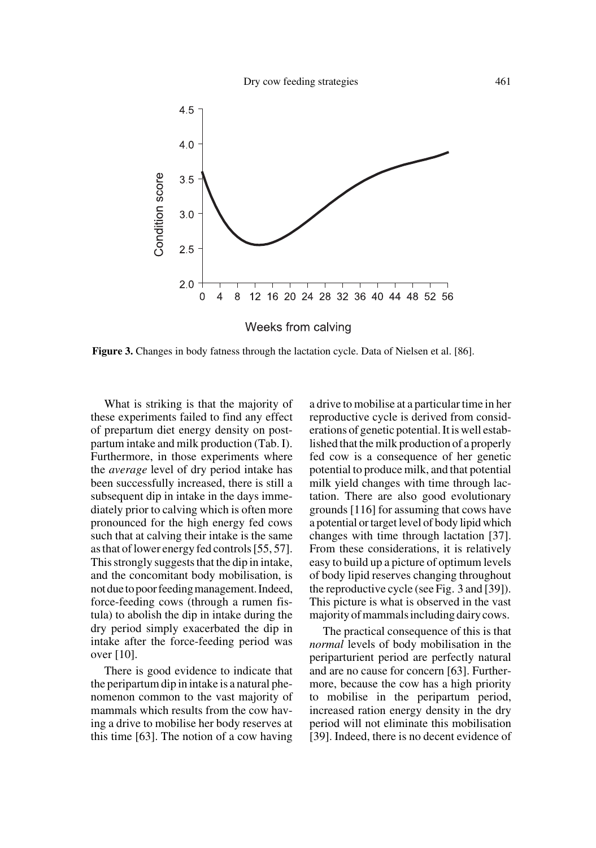

**Figure 3.** Changes in body fatness through the lactation cycle. Data of Nielsen et al. [86].

What is striking is that the majority of these experiments failed to find any effect of prepartum diet energy density on postpartum intake and milk production (Tab. I). Furthermore, in those experiments where the *average* level of dry period intake has been successfully increased, there is still a subsequent dip in intake in the days immediately prior to calving which is often more pronounced for the high energy fed cows such that at calving their intake is the same as that of lower energy fed controls [55, 57]. This strongly suggests that the dip in intake, and the concomitant body mobilisation, is not due to poor feeding management. Indeed, force-feeding cows (through a rumen fistula) to abolish the dip in intake during the dry period simply exacerbated the dip in intake after the force-feeding period was over [10].

There is good evidence to indicate that the peripartum dip in intake is a natural phenomenon common to the vast majority of mammals which results from the cow having a drive to mobilise her body reserves at this time [63]. The notion of a cow having a drive to mobilise at a particular time in her reproductive cycle is derived from considerations of genetic potential. It is well established that the milk production of a properly fed cow is a consequence of her genetic potential to produce milk, and that potential milk yield changes with time through lactation. There are also good evolutionary grounds [116] for assuming that cows have a potential or target level of body lipid which changes with time through lactation [37]. From these considerations, it is relatively easy to build up a picture of optimum levels of body lipid reserves changing throughout the reproductive cycle (see Fig. 3 and [39]). This picture is what is observed in the vast majority of mammals including dairy cows.

The practical consequence of this is that *normal* levels of body mobilisation in the periparturient period are perfectly natural and are no cause for concern [63]. Furthermore, because the cow has a high priority to mobilise in the peripartum period, increased ration energy density in the dry period will not eliminate this mobilisation [39]. Indeed, there is no decent evidence of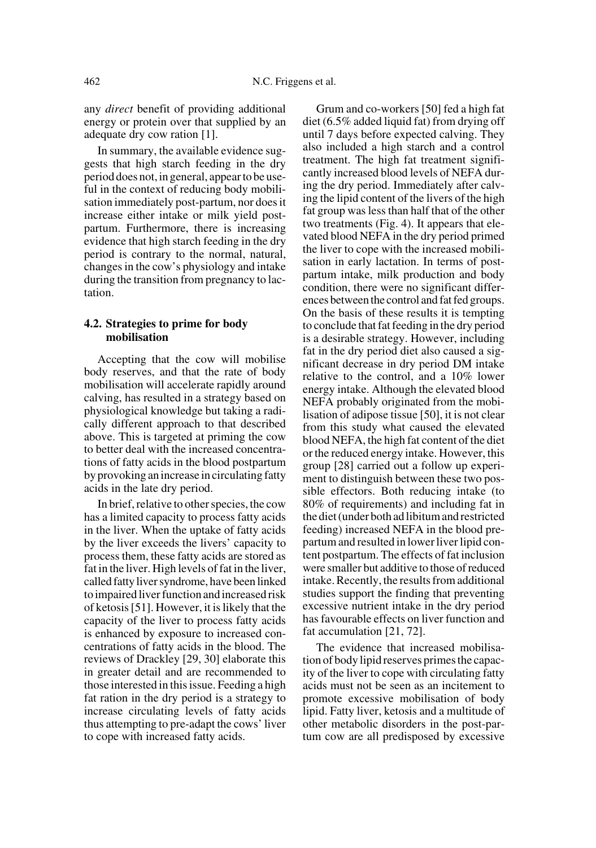any *direct* benefit of providing additional energy or protein over that supplied by an adequate dry cow ration [1].

In summary, the available evidence suggests that high starch feeding in the dry period does not, in general, appear to be useful in the context of reducing body mobilisation immediately post-partum, nor does it increase either intake or milk yield postpartum. Furthermore, there is increasing evidence that high starch feeding in the dry period is contrary to the normal, natural, changes in the cow's physiology and intake during the transition from pregnancy to lactation.

# **4.2. Strategies to prime for body mobilisation**

Accepting that the cow will mobilise body reserves, and that the rate of body mobilisation will accelerate rapidly around calving, has resulted in a strategy based on physiological knowledge but taking a radically different approach to that described above. This is targeted at priming the cow to better deal with the increased concentrations of fatty acids in the blood postpartum by provoking an increase in circulating fatty acids in the late dry period.

In brief, relative to other species, the cow has a limited capacity to process fatty acids in the liver. When the uptake of fatty acids by the liver exceeds the livers' capacity to process them, these fatty acids are stored as fat in the liver. High levels of fat in the liver, called fatty liver syndrome, have been linked to impaired liver function and increased risk of ketosis [51]. However, it is likely that the capacity of the liver to process fatty acids is enhanced by exposure to increased concentrations of fatty acids in the blood. The reviews of Drackley [29, 30] elaborate this in greater detail and are recommended to those interested in this issue. Feeding a high fat ration in the dry period is a strategy to increase circulating levels of fatty acids thus attempting to pre-adapt the cows' liver to cope with increased fatty acids.

Grum and co-workers [50] fed a high fat diet (6.5% added liquid fat) from drying off until 7 days before expected calving. They also included a high starch and a control treatment. The high fat treatment significantly increased blood levels of NEFA during the dry period. Immediately after calving the lipid content of the livers of the high fat group was less than half that of the other two treatments (Fig. 4). It appears that elevated blood NEFA in the dry period primed the liver to cope with the increased mobilisation in early lactation. In terms of postpartum intake, milk production and body condition, there were no significant differences between the control and fat fed groups. On the basis of these results it is tempting to conclude that fat feeding in the dry period is a desirable strategy. However, including fat in the dry period diet also caused a significant decrease in dry period DM intake relative to the control, and a 10% lower energy intake. Although the elevated blood NEFA probably originated from the mobilisation of adipose tissue [50], it is not clear from this study what caused the elevated blood NEFA, the high fat content of the diet or the reduced energy intake. However, this group [28] carried out a follow up experiment to distinguish between these two possible effectors. Both reducing intake (to 80% of requirements) and including fat in the diet (under both ad libitum and restricted feeding) increased NEFA in the blood prepartum and resulted in lower liver lipid content postpartum. The effects of fat inclusion were smaller but additive to those of reduced intake. Recently, the results from additional studies support the finding that preventing excessive nutrient intake in the dry period has favourable effects on liver function and fat accumulation [21, 72].

The evidence that increased mobilisation of body lipid reserves primes the capacity of the liver to cope with circulating fatty acids must not be seen as an incitement to promote excessive mobilisation of body lipid. Fatty liver, ketosis and a multitude of other metabolic disorders in the post-partum cow are all predisposed by excessive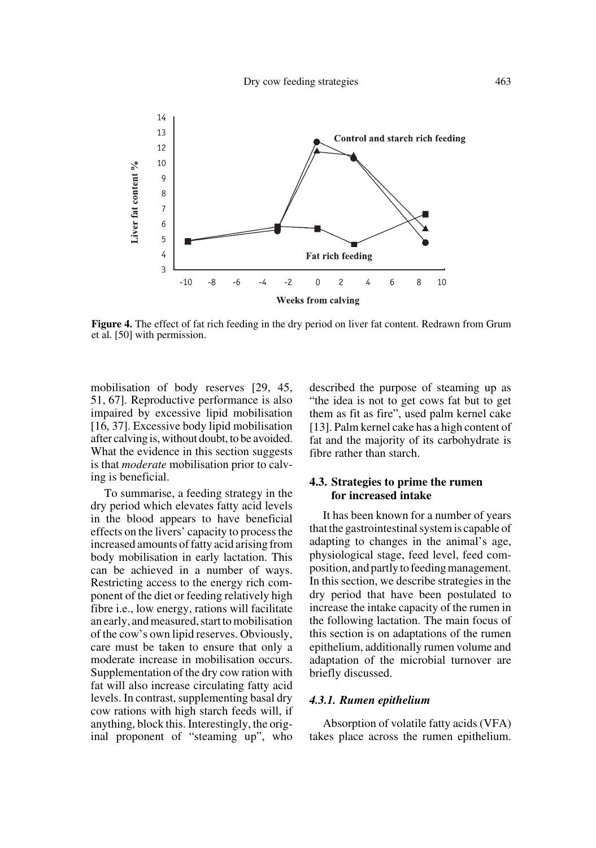

**Figure 4.** The effect of fat rich feeding in the dry period on liver fat content. Redrawn from Grum et al. [50] with permission.

mobilisation of body reserves [29, 45, 51, 67]. Reproductive performance is also impaired by excessive lipid mobilisation [16, 37]. Excessive body lipid mobilisation after calving is, without doubt, to be avoided. What the evidence in this section suggests is that *moderate* mobilisation prior to calving is beneficial.

To summarise, a feeding strategy in the dry period which elevates fatty acid levels in the blood appears to have beneficial effects on the livers' capacity to process the increased amounts of fatty acid arising from body mobilisation in early lactation. This can be achieved in a number of ways. Restricting access to the energy rich component of the diet or feeding relatively high fibre i.e., low energy, rations will facilitate an early, and measured, start to mobilisation of the cow's own lipid reserves. Obviously, care must be taken to ensure that only a moderate increase in mobilisation occurs. Supplementation of the dry cow ration with fat will also increase circulating fatty acid levels. In contrast, supplementing basal dry cow rations with high starch feeds will, if anything, block this. Interestingly, the original proponent of "steaming up", who described the purpose of steaming up as "the idea is not to get cows fat but to get them as fit as fire", used palm kernel cake [13]. Palm kernel cake has a high content of fat and the majority of its carbohydrate is fibre rather than starch.

#### **4.3. Strategies to prime the rumen for increased intake**

It has been known for a number of years that the gastrointestinal system is capable of adapting to changes in the animal's age, physiological stage, feed level, feed composition, and partly to feeding management. In this section, we describe strategies in the dry period that have been postulated to increase the intake capacity of the rumen in the following lactation. The main focus of this section is on adaptations of the rumen epithelium, additionally rumen volume and adaptation of the microbial turnover are briefly discussed.

#### *4.3.1. Rumen epithelium*

Absorption of volatile fatty acids (VFA) takes place across the rumen epithelium.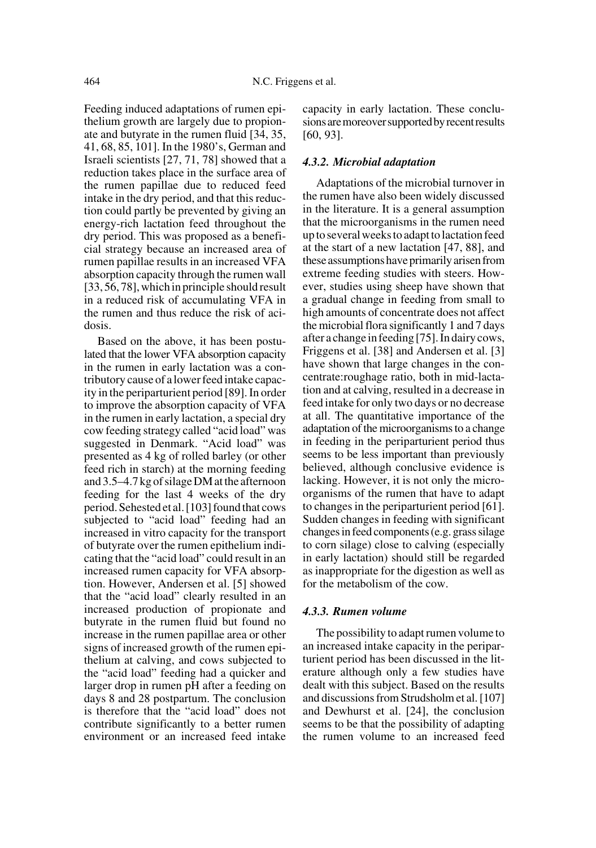Feeding induced adaptations of rumen epithelium growth are largely due to propionate and butyrate in the rumen fluid [34, 35, 41, 68, 85, 101]. In the 1980's, German and Israeli scientists [27, 71, 78] showed that a reduction takes place in the surface area of the rumen papillae due to reduced feed intake in the dry period, and that this reduction could partly be prevented by giving an energy-rich lactation feed throughout the dry period. This was proposed as a beneficial strategy because an increased area of rumen papillae results in an increased VFA absorption capacity through the rumen wall [33, 56, 78], which in principle should result in a reduced risk of accumulating VFA in the rumen and thus reduce the risk of acidosis.

Based on the above, it has been postulated that the lower VFA absorption capacity in the rumen in early lactation was a contributory cause of a lower feed intake capacity in the periparturient period [89]. In order to improve the absorption capacity of VFA in the rumen in early lactation, a special dry cow feeding strategy called "acid load" was suggested in Denmark. "Acid load" was presented as 4 kg of rolled barley (or other feed rich in starch) at the morning feeding and 3.5–4.7 kg of silage DM at the afternoon feeding for the last 4 weeks of the dry period. Sehested et al. [103] found that cows subjected to "acid load" feeding had an increased in vitro capacity for the transport of butyrate over the rumen epithelium indicating that the "acid load" could result in an increased rumen capacity for VFA absorption. However, Andersen et al. [5] showed that the "acid load" clearly resulted in an increased production of propionate and butyrate in the rumen fluid but found no increase in the rumen papillae area or other signs of increased growth of the rumen epithelium at calving, and cows subjected to the "acid load" feeding had a quicker and larger drop in rumen pH after a feeding on days 8 and 28 postpartum. The conclusion is therefore that the "acid load" does not contribute significantly to a better rumen environment or an increased feed intake

capacity in early lactation. These conclusions are moreover supported by recent results [60, 93].

# *4.3.2. Microbial adaptation*

Adaptations of the microbial turnover in the rumen have also been widely discussed in the literature. It is a general assumption that the microorganisms in the rumen need up to several weeks to adapt to lactation feed at the start of a new lactation [47, 88], and these assumptions have primarily arisen from extreme feeding studies with steers. However, studies using sheep have shown that a gradual change in feeding from small to high amounts of concentrate does not affect the microbial flora significantly 1 and 7 days after a change in feeding [75]. In dairy cows, Friggens et al. [38] and Andersen et al. [3] have shown that large changes in the concentrate:roughage ratio, both in mid-lactation and at calving, resulted in a decrease in feed intake for only two days or no decrease at all. The quantitative importance of the adaptation of the microorganisms to a change in feeding in the periparturient period thus seems to be less important than previously believed, although conclusive evidence is lacking. However, it is not only the microorganisms of the rumen that have to adapt to changes in the periparturient period [61]. Sudden changes in feeding with significant changes in feed components (e.g. grass silage to corn silage) close to calving (especially in early lactation) should still be regarded as inappropriate for the digestion as well as for the metabolism of the cow.

#### *4.3.3. Rumen volume*

The possibility to adapt rumen volume to an increased intake capacity in the periparturient period has been discussed in the literature although only a few studies have dealt with this subject. Based on the results and discussions from Strudsholm et al. [107] and Dewhurst et al. [24], the conclusion seems to be that the possibility of adapting the rumen volume to an increased feed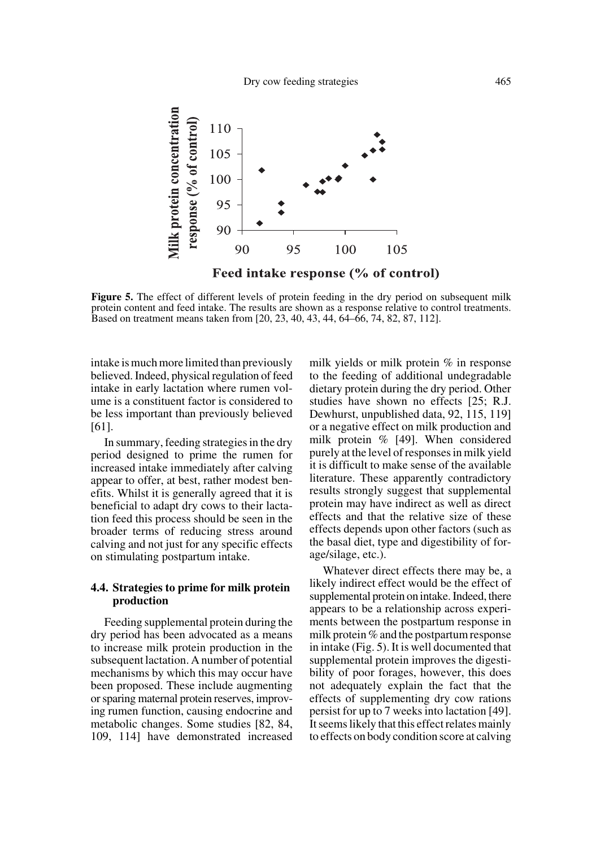

**Figure 5.** The effect of different levels of protein feeding in the dry period on subsequent milk protein content and feed intake. The results are shown as a response relative to control treatments. Based on treatment means taken from [20, 23, 40, 43, 44, 64–66, 74, 82, 87, 112].

intake is much more limited than previously believed. Indeed, physical regulation of feed intake in early lactation where rumen volume is a constituent factor is considered to be less important than previously believed [61].

In summary, feeding strategies in the dry period designed to prime the rumen for increased intake immediately after calving appear to offer, at best, rather modest benefits. Whilst it is generally agreed that it is beneficial to adapt dry cows to their lactation feed this process should be seen in the broader terms of reducing stress around calving and not just for any specific effects on stimulating postpartum intake.

## **4.4. Strategies to prime for milk protein production**

Feeding supplemental protein during the dry period has been advocated as a means to increase milk protein production in the subsequent lactation. A number of potential mechanisms by which this may occur have been proposed. These include augmenting or sparing maternal protein reserves, improving rumen function, causing endocrine and metabolic changes. Some studies [82, 84, 109, 114] have demonstrated increased milk yields or milk protein % in response to the feeding of additional undegradable dietary protein during the dry period. Other studies have shown no effects [25; R.J. Dewhurst, unpublished data, 92, 115, 119] or a negative effect on milk production and milk protein % [49]. When considered purely at the level of responses in milk yield it is difficult to make sense of the available literature. These apparently contradictory results strongly suggest that supplemental protein may have indirect as well as direct effects and that the relative size of these effects depends upon other factors (such as the basal diet, type and digestibility of forage/silage, etc.).

Whatever direct effects there may be, a likely indirect effect would be the effect of supplemental protein on intake. Indeed, there appears to be a relationship across experiments between the postpartum response in milk protein % and the postpartum response in intake (Fig. 5). It is well documented that supplemental protein improves the digestibility of poor forages, however, this does not adequately explain the fact that the effects of supplementing dry cow rations persist for up to 7 weeks into lactation [49]. It seems likely that this effect relates mainly to effects on body condition score at calving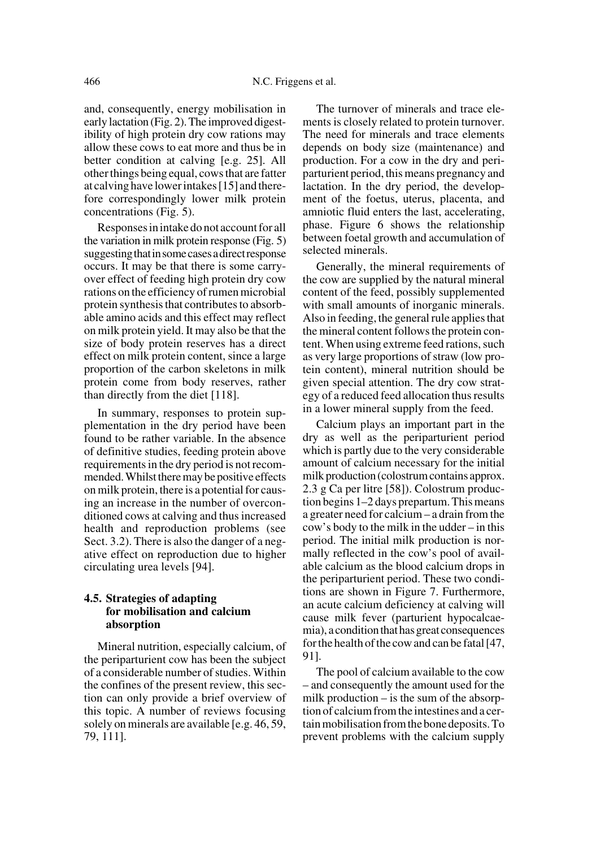and, consequently, energy mobilisation in early lactation (Fig. 2). The improved digestibility of high protein dry cow rations may allow these cows to eat more and thus be in better condition at calving [e.g. 25]. All other things being equal, cows that are fatter at calving have lower intakes [15] and therefore correspondingly lower milk protein concentrations (Fig. 5).

Responses in intake do not account for all the variation in milk protein response (Fig. 5) suggesting that in some cases a direct response occurs. It may be that there is some carryover effect of feeding high protein dry cow rations on the efficiency of rumen microbial protein synthesis that contributes to absorbable amino acids and this effect may reflect on milk protein yield. It may also be that the size of body protein reserves has a direct effect on milk protein content, since a large proportion of the carbon skeletons in milk protein come from body reserves, rather than directly from the diet [118].

In summary, responses to protein supplementation in the dry period have been found to be rather variable. In the absence of definitive studies, feeding protein above requirements in the dry period is not recommended. Whilst there may be positive effects on milk protein, there is a potential for causing an increase in the number of overconditioned cows at calving and thus increased health and reproduction problems (see Sect. 3.2). There is also the danger of a negative effect on reproduction due to higher circulating urea levels [94].

# **4.5. Strategies of adapting for mobilisation and calcium absorption**

Mineral nutrition, especially calcium, of the periparturient cow has been the subject of a considerable number of studies. Within the confines of the present review, this section can only provide a brief overview of this topic. A number of reviews focusing solely on minerals are available [e.g. 46, 59, 79, 111].

The turnover of minerals and trace elements is closely related to protein turnover. The need for minerals and trace elements depends on body size (maintenance) and production. For a cow in the dry and periparturient period, this means pregnancy and lactation. In the dry period, the development of the foetus, uterus, placenta, and amniotic fluid enters the last, accelerating, phase. Figure 6 shows the relationship between foetal growth and accumulation of selected minerals.

Generally, the mineral requirements of the cow are supplied by the natural mineral content of the feed, possibly supplemented with small amounts of inorganic minerals. Also in feeding, the general rule applies that the mineral content follows the protein content. When using extreme feed rations, such as very large proportions of straw (low protein content), mineral nutrition should be given special attention. The dry cow strategy of a reduced feed allocation thus results in a lower mineral supply from the feed.

Calcium plays an important part in the dry as well as the periparturient period which is partly due to the very considerable amount of calcium necessary for the initial milk production (colostrum contains approx. 2.3 g Ca per litre [58]). Colostrum production begins 1–2 days prepartum. This means a greater need for calcium – a drain from the cow's body to the milk in the udder – in this period. The initial milk production is normally reflected in the cow's pool of available calcium as the blood calcium drops in the periparturient period. These two conditions are shown in Figure 7. Furthermore, an acute calcium deficiency at calving will cause milk fever (parturient hypocalcaemia), a condition that has great consequences for the health of the cow and can be fatal [47, 91].

The pool of calcium available to the cow – and consequently the amount used for the milk production – is the sum of the absorption of calcium from the intestines and a certain mobilisation from the bone deposits. To prevent problems with the calcium supply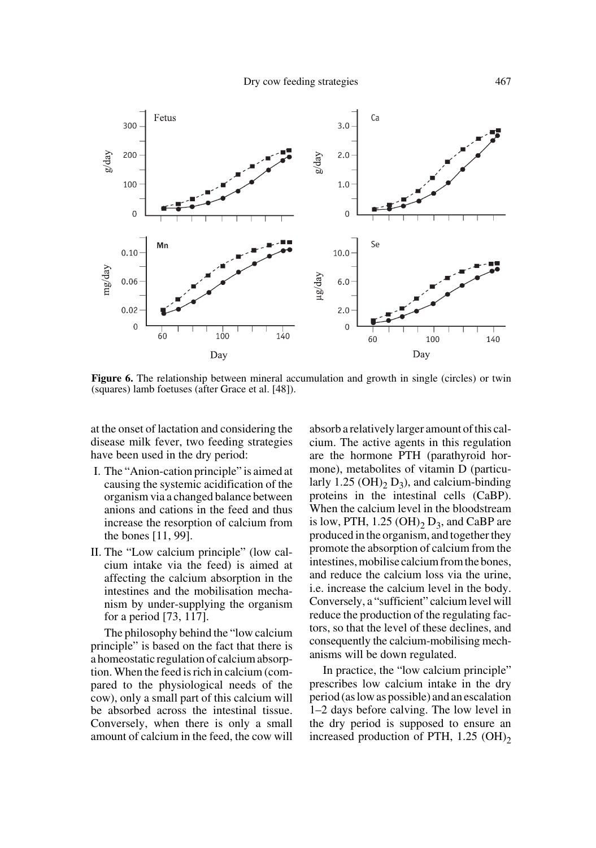

**Figure 6.** The relationship between mineral accumulation and growth in single (circles) or twin (squares) lamb foetuses (after Grace et al. [48]).

at the onset of lactation and considering the disease milk fever, two feeding strategies have been used in the dry period:

- I. The "Anion-cation principle" is aimed at causing the systemic acidification of the organism via a changed balance between anions and cations in the feed and thus increase the resorption of calcium from the bones [11, 99].
- II. The "Low calcium principle" (low calcium intake via the feed) is aimed at affecting the calcium absorption in the intestines and the mobilisation mechanism by under-supplying the organism for a period [73, 117].

The philosophy behind the "low calcium principle" is based on the fact that there is a homeostatic regulation of calcium absorption. When the feed is rich in calcium (compared to the physiological needs of the cow), only a small part of this calcium will be absorbed across the intestinal tissue. Conversely, when there is only a small amount of calcium in the feed, the cow will absorb a relatively larger amount of this calcium. The active agents in this regulation are the hormone PTH (parathyroid hormone), metabolites of vitamin D (particularly 1.25  $(OH)_2 D_3$ ), and calcium-binding proteins in the intestinal cells (CaBP). When the calcium level in the bloodstream is low, PTH,  $1.25 \text{ (OH)}_2 \text{ D}_3$ , and CaBP are produced in the organism, and together they promote the absorption of calcium from the intestines, mobilise calcium from the bones, and reduce the calcium loss via the urine, i.e. increase the calcium level in the body. Conversely, a "sufficient" calcium level will reduce the production of the regulating factors, so that the level of these declines, and consequently the calcium-mobilising mechanisms will be down regulated.

In practice, the "low calcium principle" prescribes low calcium intake in the dry period (as low as possible) and an escalation 1–2 days before calving. The low level in the dry period is supposed to ensure an increased production of PTH,  $1.25$  (OH)<sub>2</sub>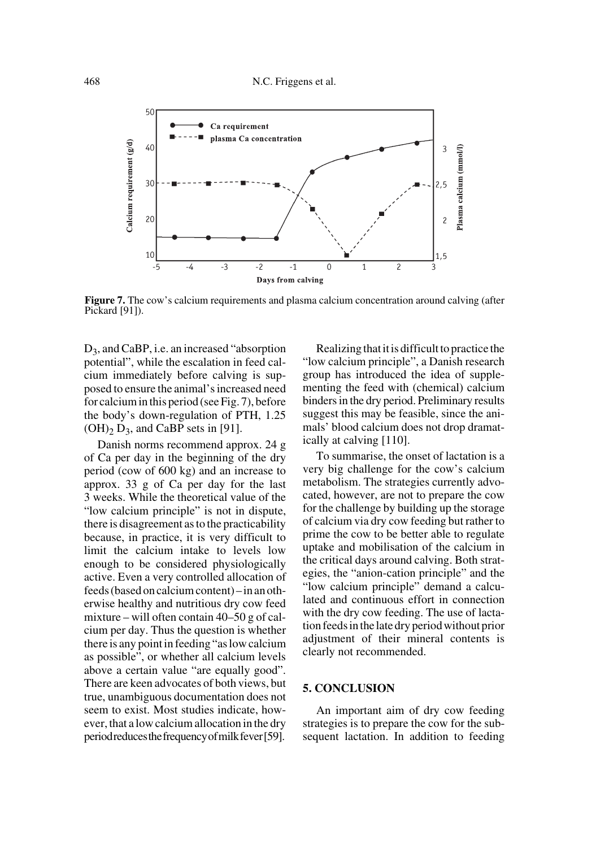

**Figure 7.** The cow's calcium requirements and plasma calcium concentration around calving (after Pickard [91]).

D3, and CaBP, i.e. an increased "absorption potential", while the escalation in feed calcium immediately before calving is supposed to ensure the animal's increased need for calcium in this period (see Fig. 7), before the body's down-regulation of PTH, 1.25  $(OH)$ <sub>2</sub>, and CaBP sets in [91].

Danish norms recommend approx. 24 g of Ca per day in the beginning of the dry period (cow of 600 kg) and an increase to approx. 33 g of Ca per day for the last 3 weeks. While the theoretical value of the "low calcium principle" is not in dispute, there is disagreement as to the practicability because, in practice, it is very difficult to limit the calcium intake to levels low enough to be considered physiologically active. Even a very controlled allocation of feeds (based on calcium content) – in an otherwise healthy and nutritious dry cow feed mixture – will often contain 40–50 g of calcium per day. Thus the question is whether there is any point in feeding "as low calcium as possible", or whether all calcium levels above a certain value "are equally good". There are keen advocates of both views, but true, unambiguous documentation does not seem to exist. Most studies indicate, however, that a low calcium allocation in the dry period reduces the frequency of milk fever [59].

Realizing that it is difficult to practice the "low calcium principle", a Danish research group has introduced the idea of supplementing the feed with (chemical) calcium binders in the dry period. Preliminary results suggest this may be feasible, since the animals' blood calcium does not drop dramatically at calving [110].

To summarise, the onset of lactation is a very big challenge for the cow's calcium metabolism. The strategies currently advocated, however, are not to prepare the cow for the challenge by building up the storage of calcium via dry cow feeding but rather to prime the cow to be better able to regulate uptake and mobilisation of the calcium in the critical days around calving. Both strategies, the "anion-cation principle" and the "low calcium principle" demand a calculated and continuous effort in connection with the dry cow feeding. The use of lactation feeds in the late dry period without prior adjustment of their mineral contents is clearly not recommended.

## **5. CONCLUSION**

An important aim of dry cow feeding strategies is to prepare the cow for the subsequent lactation. In addition to feeding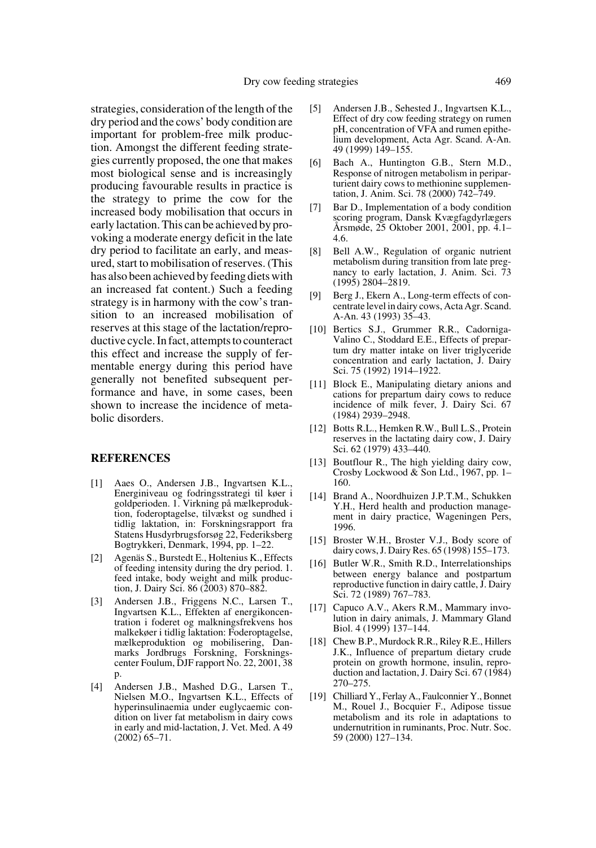strategies, consideration of the length of the dry period and the cows' body condition are important for problem-free milk production. Amongst the different feeding strategies currently proposed, the one that makes most biological sense and is increasingly producing favourable results in practice is the strategy to prime the cow for the increased body mobilisation that occurs in early lactation. This can be achieved by provoking a moderate energy deficit in the late dry period to facilitate an early, and measured, start to mobilisation of reserves. (This has also been achieved by feeding diets with an increased fat content.) Such a feeding strategy is in harmony with the cow's transition to an increased mobilisation of reserves at this stage of the lactation/reproductive cycle. In fact, attempts to counteract this effect and increase the supply of fermentable energy during this period have generally not benefited subsequent performance and have, in some cases, been shown to increase the incidence of metabolic disorders.

# **REFERENCES**

- [1] Aaes O., Andersen J.B., Ingvartsen K.L., Energiniveau og fodringsstrategi til køer i goldperioden. 1. Virkning på mælkeproduktion, foderoptagelse, tilvækst og sundhed i tidlig laktation, in: Forskningsrapport fra Statens Husdyrbrugsforsøg 22, Federiksberg Bogtrykkeri, Denmark, 1994, pp. 1–22.
- [2] Agenäs S., Burstedt E., Holtenius K., Effects of feeding intensity during the dry period. 1. feed intake, body weight and milk production, J. Dairy Sci. 86 (2003) 870–882.
- [3] Andersen J.B., Friggens N.C., Larsen T., Ingvartsen K.L., Effekten af energikoncentration i foderet og malkningsfrekvens hos malkekøer i tidlig laktation: Foderoptagelse, mælkeproduktion og mobilisering, Danmarks Jordbrugs Forskning, Forskningscenter Foulum, DJF rapport No. 22, 2001, 38 p.
- [4] Andersen J.B., Mashed D.G., Larsen T., Nielsen M.O., Ingvartsen K.L., Effects of hyperinsulinaemia under euglycaemic condition on liver fat metabolism in dairy cows in early and mid-lactation, J. Vet. Med. A 49 (2002) 65–71.
- [5] Andersen J.B., Sehested J., Ingvartsen K.L., Effect of dry cow feeding strategy on rumen pH, concentration of VFA and rumen epithelium development, Acta Agr. Scand. A-An. 49 (1999) 149–155.
- [6] Bach A., Huntington G.B., Stern M.D., Response of nitrogen metabolism in periparturient dairy cows to methionine supplementation, J. Anim. Sci. 78 (2000) 742–749.
- [7] Bar D., Implementation of a body condition scoring program, Dansk Kvægfagdyrlægers Årsmøde, 25 Oktober 2001, 2001, pp. 4.1– 4.6.
- [8] Bell A.W., Regulation of organic nutrient metabolism during transition from late pregnancy to early lactation, J. Anim. Sci. 73 (1995) 2804–2819.
- [9] Berg J., Ekern A., Long-term effects of concentrate level in dairy cows, Acta Agr. Scand. A-An. 43 (1993) 35–43.
- [10] Bertics S.J., Grummer R.R., Cadorniga-Valino C., Stoddard E.E., Effects of prepartum dry matter intake on liver triglyceride concentration and early lactation, J. Dairy Sci. 75 (1992) 1914–1922.
- [11] Block E., Manipulating dietary anions and cations for prepartum dairy cows to reduce incidence of milk fever, J. Dairy Sci. 67 (1984) 2939–2948.
- [12] Botts R.L., Hemken R.W., Bull L.S., Protein reserves in the lactating dairy cow, J. Dairy Sci. 62 (1979) 433–440.
- [13] Boutflour R., The high yielding dairy cow, Crosby Lockwood & Son Ltd., 1967, pp. 1– 160.
- [14] Brand A., Noordhuizen J.P.T.M., Schukken Y.H., Herd health and production management in dairy practice, Wageningen Pers, 1996.
- [15] Broster W.H., Broster V.J., Body score of dairy cows, J. Dairy Res. 65 (1998) 155–173.
- [16] Butler W.R., Smith R.D., Interrelationships between energy balance and postpartum reproductive function in dairy cattle, J. Dairy Sci. 72 (1989) 767–783.
- [17] Capuco A.V., Akers R.M., Mammary involution in dairy animals, J. Mammary Gland Biol. 4 (1999) 137–144.
- [18] Chew B.P., Murdock R.R., Riley R.E., Hillers J.K., Influence of prepartum dietary crude protein on growth hormone, insulin, reproduction and lactation, J. Dairy Sci. 67 (1984) 270–275.
- [19] Chilliard Y., Ferlay A., Faulconnier Y., Bonnet M., Rouel J., Bocquier F., Adipose tissue metabolism and its role in adaptations to undernutrition in ruminants, Proc. Nutr. Soc. 59 (2000) 127–134.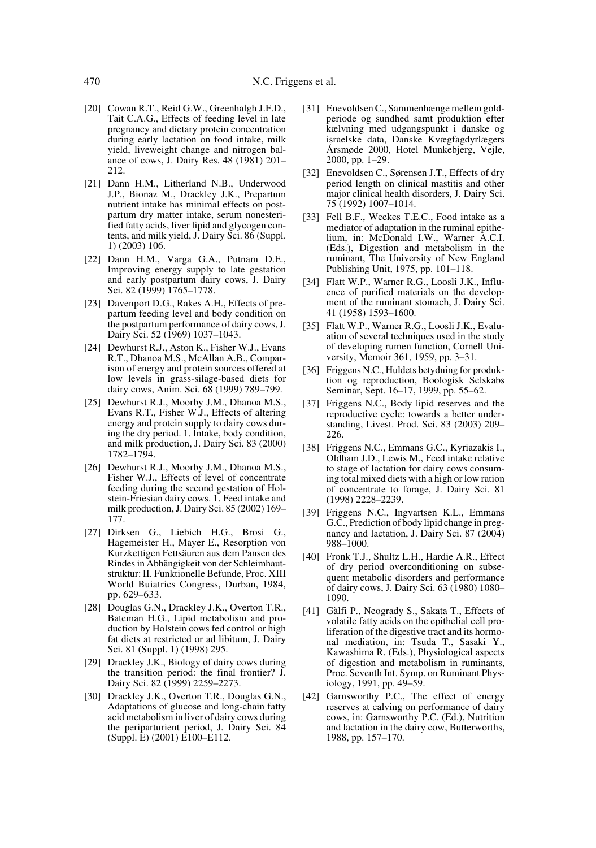- [20] Cowan R.T., Reid G.W., Greenhalgh J.F.D., Tait C.A.G., Effects of feeding level in late pregnancy and dietary protein concentration during early lactation on food intake, milk yield, liveweight change and nitrogen balance of cows, J. Dairy Res. 48 (1981) 201– 212.
- [21] Dann H.M., Litherland N.B., Underwood J.P., Bionaz M., Drackley J.K., Prepartum nutrient intake has minimal effects on postpartum dry matter intake, serum nonesterified fatty acids, liver lipid and glycogen contents, and milk yield, J. Dairy Sci. 86 (Suppl. 1) (2003) 106.
- [22] Dann H.M., Varga G.A., Putnam D.E., Improving energy supply to late gestation and early postpartum dairy cows, J. Dairy Sci. 82 (1999) 1765–1778.
- [23] Davenport D.G., Rakes A.H., Effects of prepartum feeding level and body condition on the postpartum performance of dairy cows, J. Dairy Sci. 52 (1969) 1037–1043.
- [24] Dewhurst R.J., Aston K., Fisher W.J., Evans R.T., Dhanoa M.S., McAllan A.B., Comparison of energy and protein sources offered at low levels in grass-silage-based diets for dairy cows, Anim. Sci. 68 (1999) 789–799.
- [25] Dewhurst R.J., Moorby J.M., Dhanoa M.S., Evans R.T., Fisher W.J., Effects of altering energy and protein supply to dairy cows during the dry period. 1. Intake, body condition, and milk production, J. Dairy Sci. 83 (2000) 1782–1794.
- [26] Dewhurst R.J., Moorby J.M., Dhanoa M.S., Fisher W.J., Effects of level of concentrate feeding during the second gestation of Holstein-Friesian dairy cows. 1. Feed intake and milk production, J. Dairy Sci. 85 (2002) 169– 177.
- [27] Dirksen G., Liebich H.G., Brosi G., Hagemeister H., Mayer E., Resorption von Kurzkettigen Fettsäuren aus dem Pansen des Rindes in Abhängigkeit von der Schleimhautstruktur: II. Funktionelle Befunde, Proc. XIII World Buiatrics Congress, Durban, 1984, pp. 629–633.
- [28] Douglas G.N., Drackley J.K., Overton T.R., Bateman H.G., Lipid metabolism and production by Holstein cows fed control or high fat diets at restricted or ad libitum, J. Dairy Sci. 81 (Suppl. 1) (1998) 295.
- [29] Drackley J.K., Biology of dairy cows during the transition period: the final frontier? J. Dairy Sci. 82 (1999) 2259–2273.
- [30] Drackley J.K., Overton T.R., Douglas G.N., Adaptations of glucose and long-chain fatty acid metabolism in liver of dairy cows during the periparturient period, J. Dairy Sci. 84 (Suppl. E) (2001) E100–E112.
- [31] Enevoldsen C., Sammenhænge mellem goldperiode og sundhed samt produktion efter kælvning med udgangspunkt i danske og israelske data, Danske Kvægfagdyrlægers Årsmøde 2000, Hotel Munkebjerg, Vejle, 2000, pp. 1–29.
- [32] Enevoldsen C., Sørensen J.T., Effects of dry period length on clinical mastitis and other major clinical health disorders, J. Dairy Sci. 75 (1992) 1007–1014.
- [33] Fell B.F., Weekes T.E.C., Food intake as a mediator of adaptation in the ruminal epithelium, in: McDonald I.W., Warner A.C.I. (Eds.), Digestion and metabolism in the ruminant, The University of New England Publishing Unit, 1975, pp. 101–118.
- [34] Flatt W.P., Warner R.G., Loosli J.K., Influence of purified materials on the development of the ruminant stomach, J. Dairy Sci. 41 (1958) 1593–1600.
- [35] Flatt W.P., Warner R.G., Loosli J.K., Evaluation of several techniques used in the study of developing rumen function, Cornell University, Memoir 361, 1959, pp. 3–31.
- [36] Friggens N.C., Huldets betydning for produktion og reproduction, Boologisk Selskabs Seminar, Sept. 16–17, 1999, pp. 55–62.
- [37] Friggens N.C., Body lipid reserves and the reproductive cycle: towards a better understanding, Livest. Prod. Sci. 83 (2003) 209– 226.
- [38] Friggens N.C., Emmans G.C., Kyriazakis I., Oldham J.D., Lewis M., Feed intake relative to stage of lactation for dairy cows consuming total mixed diets with a high or low ration of concentrate to forage, J. Dairy Sci. 81 (1998) 2228–2239.
- [39] Friggens N.C., Ingvartsen K.L., Emmans G.C., Prediction of body lipid change in pregnancy and lactation, J. Dairy Sci. 87 (2004) 988–1000.
- [40] Fronk T.J., Shultz L.H., Hardie A.R., Effect of dry period overconditioning on subsequent metabolic disorders and performance of dairy cows, J. Dairy Sci. 63 (1980) 1080– 1090.
- [41] Gàlfi P., Neogrady S., Sakata T., Effects of volatile fatty acids on the epithelial cell proliferation of the digestive tract and its hormonal mediation, in: Tsuda T., Sasaki Y., Kawashima R. (Eds.), Physiological aspects of digestion and metabolism in ruminants, Proc. Seventh Int. Symp. on Ruminant Physiology, 1991, pp. 49–59.
- [42] Garnsworthy P.C., The effect of energy reserves at calving on performance of dairy cows, in: Garnsworthy P.C. (Ed.), Nutrition and lactation in the dairy cow, Butterworths, 1988, pp. 157–170.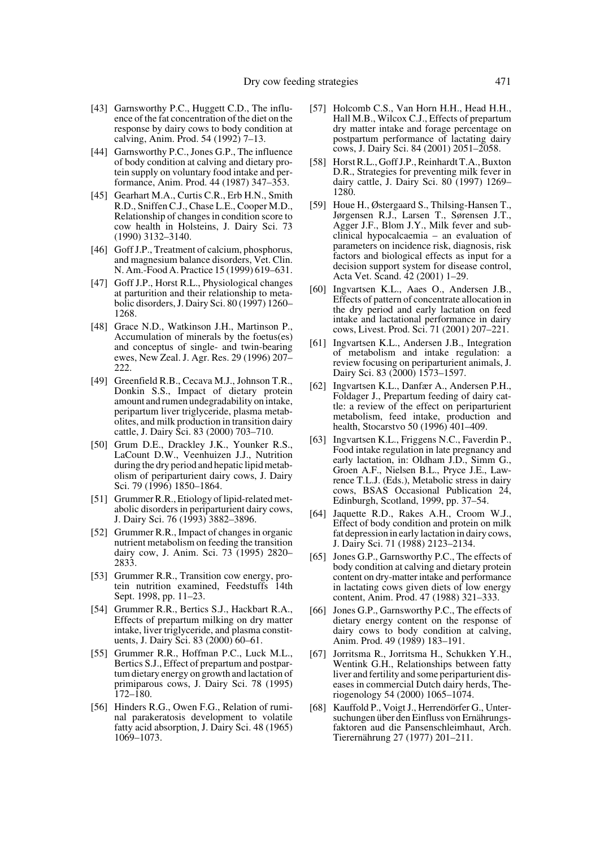- [43] Garnsworthy P.C., Huggett C.D., The influence of the fat concentration of the diet on the response by dairy cows to body condition at calving, Anim. Prod. 54 (1992) 7–13.
- [44] Garnsworthy P.C., Jones G.P., The influence of body condition at calving and dietary protein supply on voluntary food intake and performance, Anim. Prod. 44 (1987) 347–353.
- [45] Gearhart M.A., Curtis C.R., Erb H.N., Smith R.D., Sniffen C.J., Chase L.E., Cooper M.D., Relationship of changes in condition score to cow health in Holsteins, J. Dairy Sci. 73 (1990) 3132–3140.
- [46] Goff J.P., Treatment of calcium, phosphorus, and magnesium balance disorders, Vet. Clin. N. Am.-Food A. Practice 15 (1999) 619–631.
- [47] Goff J.P., Horst R.L., Physiological changes at parturition and their relationship to metabolic disorders, J. Dairy Sci. 80 (1997) 1260– 1268.
- [48] Grace N.D., Watkinson J.H., Martinson P., Accumulation of minerals by the foetus(es) and conceptus of single- and twin-bearing ewes, New Zeal. J. Agr. Res. 29 (1996) 207– 222.
- [49] Greenfield R.B., Cecava M.J., Johnson T.R., Donkin S.S., Impact of dietary protein amount and rumen undegradability on intake, peripartum liver triglyceride, plasma metabolites, and milk production in transition dairy cattle, J. Dairy Sci. 83 (2000) 703–710.
- [50] Grum D.E., Drackley J.K., Younker R.S., LaCount D.W., Veenhuizen J.J., Nutrition during the dry period and hepatic lipid metabolism of periparturient dairy cows, J. Dairy Sci. 79 (1996) 1850–1864.
- [51] Grummer R.R., Etiology of lipid-related metabolic disorders in periparturient dairy cows, J. Dairy Sci. 76 (1993) 3882–3896.
- [52] Grummer R.R., Impact of changes in organic nutrient metabolism on feeding the transition dairy cow, J. Anim. Sci. 73 (1995) 2820– 2833.
- [53] Grummer R.R., Transition cow energy, protein nutrition examined, Feedstuffs 14th Sept. 1998, pp. 11–23.
- [54] Grummer R.R., Bertics S.J., Hackbart R.A., Effects of prepartum milking on dry matter intake, liver triglyceride, and plasma constituents, J. Dairy Sci. 83 (2000) 60–61.
- [55] Grummer R.R., Hoffman P.C., Luck M.L., Bertics S.J., Effect of prepartum and postpartum dietary energy on growth and lactation of primiparous cows, J. Dairy Sci. 78 (1995) 172–180.
- [56] Hinders R.G., Owen F.G., Relation of ruminal parakeratosis development to volatile fatty acid absorption, J. Dairy Sci. 48 (1965) 1069–1073.
- [57] Holcomb C.S., Van Horn H.H., Head H.H., Hall M.B., Wilcox C.J., Effects of prepartum dry matter intake and forage percentage on postpartum performance of lactating dairy cows, J. Dairy Sci. 84 (2001) 2051–2058.
- [58] Horst R.L., Goff J.P., Reinhardt T.A., Buxton D.R., Strategies for preventing milk fever in dairy cattle, J. Dairy Sci. 80 (1997) 1269– 1280.
- [59] Houe H., Østergaard S., Thilsing-Hansen T., Jørgensen R.J., Larsen T., Sørensen J.T., Agger J.F., Blom J.Y., Milk fever and subclinical hypocalcaemia – an evaluation of parameters on incidence risk, diagnosis, risk factors and biological effects as input for a decision support system for disease control, Acta Vet. Scand. 42 (2001) 1–29.
- [60] Ingvartsen K.L., Aaes O., Andersen J.B., Effects of pattern of concentrate allocation in the dry period and early lactation on feed intake and lactational performance in dairy cows, Livest. Prod. Sci. 71 (2001) 207–221.
- [61] Ingvartsen K.L., Andersen J.B., Integration of metabolism and intake regulation: a review focusing on periparturient animals, J. Dairy Sci. 83 (2000) 1573–1597.
- [62] Ingvartsen K.L., Danfær A., Andersen P.H., Foldager J., Prepartum feeding of dairy cattle: a review of the effect on periparturient metabolism, feed intake, production and health, Stocarstvo 50 (1996) 401–409.
- [63] Ingvartsen K.L., Friggens N.C., Faverdin P. Food intake regulation in late pregnancy and early lactation, in: Oldham J.D., Simm G., Groen A.F., Nielsen B.L., Pryce J.E., Lawrence T.L.J. (Eds.), Metabolic stress in dairy cows, BSAS Occasional Publication 24, Edinburgh, Scotland, 1999, pp. 37–54.
- [64] Jaquette R.D., Rakes A.H., Croom W.J., Effect of body condition and protein on milk fat depression in early lactation in dairy cows, J. Dairy Sci. 71 (1988) 2123–2134.
- [65] Jones G.P., Garnsworthy P.C., The effects of body condition at calving and dietary protein content on dry-matter intake and performance in lactating cows given diets of low energy content, Anim. Prod. 47 (1988) 321–333.
- [66] Jones G.P., Garnsworthy P.C., The effects of dietary energy content on the response of dairy cows to body condition at calving, Anim. Prod. 49 (1989) 183–191.
- [67] Jorritsma R., Jorritsma H., Schukken Y.H., Wentink G.H., Relationships between fatty liver and fertility and some periparturient diseases in commercial Dutch dairy herds, Theriogenology 54 (2000) 1065–1074.
- [68] Kauffold P., Voigt J., Herrendörfer G., Untersuchungen über den Einfluss von Ernährungsfaktoren aud die Pansenschleimhaut, Arch. Tierernährung 27 (1977) 201–211.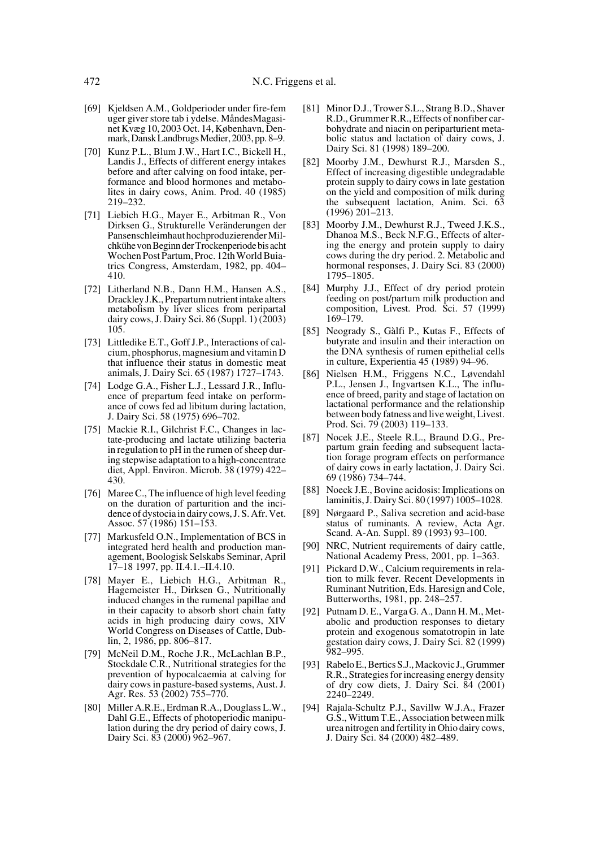- [69] Kjeldsen A.M., Goldperioder under fire-fem uger giver store tab i ydelse. MåndesMagasinet Kvæg 10, 2003 Oct. 14, København, Denmark, Dansk Landbrugs Medier, 2003, pp. 8–9.
- [70] Kunz P.L., Blum J.W., Hart I.C., Bickell H., Landis J., Effects of different energy intakes before and after calving on food intake, performance and blood hormones and metabolites in dairy cows, Anim. Prod. 40 (1985) 219–232.
- [71] Liebich H.G., Mayer E., Arbitman R., Von Dirksen G., Strukturelle Veränderungen der Pansenschleimhaut hochproduzierender Milchkühe von Beginn der Trockenperiode bis acht Wochen Post Partum, Proc. 12th World Buiatrics Congress, Amsterdam, 1982, pp. 404– 410.
- [72] Litherland N.B., Dann H.M., Hansen A.S., Drackley J.K., Prepartum nutrient intake alters metabolism by liver slices from peripartal dairy cows, J. Dairy Sci. 86 (Suppl. 1)  $(2003)$ 105.
- [73] Littledike E.T., Goff J.P., Interactions of calcium, phosphorus, magnesium and vitamin D that influence their status in domestic meat animals, J. Dairy Sci. 65 (1987) 1727–1743.
- [74] Lodge G.A., Fisher L.J., Lessard J.R., Influence of prepartum feed intake on performance of cows fed ad libitum during lactation, J. Dairy Sci. 58 (1975) 696–702.
- [75] Mackie R.I., Gilchrist F.C., Changes in lactate-producing and lactate utilizing bacteria in regulation to pH in the rumen of sheep during stepwise adaptation to a high-concentrate diet, Appl. Environ. Microb. 38 (1979) 422– 430.
- [76] Maree C., The influence of high level feeding on the duration of parturition and the incidence of dystocia in dairy cows, J. S. Afr. Vet. Assoc. 57 (1986) 151–153.
- [77] Markusfeld O.N., Implementation of BCS in integrated herd health and production management, Boologisk Selskabs Seminar, April 17–18 1997, pp. II.4.1.–II.4.10.
- [78] Mayer E., Liebich H.G., Arbitman R., Hagemeister H., Dirksen G., Nutritionally induced changes in the rumenal papillae and in their capacity to absorb short chain fatty acids in high producing dairy cows, XIV World Congress on Diseases of Cattle, Dublin, 2, 1986, pp. 806–817.
- [79] McNeil D.M., Roche J.R., McLachlan B.P., Stockdale C.R., Nutritional strategies for the prevention of hypocalcaemia at calving for dairy cows in pasture-based systems, Aust. J. Agr. Res. 53 (2002) 755–770.
- [80] Miller A.R.E., Erdman R.A., Douglass L.W., Dahl G.E., Effects of photoperiodic manipulation during the dry period of dairy cows, J. Dairy Sci. 83 (2000) 962–967.
- [81] Minor D.J., Trower S.L., Strang B.D., Shaver R.D., Grummer R.R., Effects of nonfiber carbohydrate and niacin on periparturient metabolic status and lactation of dairy cows, J. Dairy Sci. 81 (1998) 189–200.
- [82] Moorby J.M., Dewhurst R.J., Marsden S., Effect of increasing digestible undegradable protein supply to dairy cows in late gestation on the yield and composition of milk during the subsequent lactation, Anim. Sci. 63 (1996) 201–213.
- [83] Moorby J.M., Dewhurst R.J., Tweed J.K.S., Dhanoa M.S., Beck N.F.G., Effects of altering the energy and protein supply to dairy cows during the dry period. 2. Metabolic and hormonal responses, J. Dairy Sci. 83 (2000) 1795–1805.
- [84] Murphy J.J., Effect of dry period protein feeding on post/partum milk production and composition, Livest. Prod. Sci. 57 (1999) 169–179.
- [85] Neogrady S., Gàlfi P., Kutas F., Effects of butyrate and insulin and their interaction on the DNA synthesis of rumen epithelial cells in culture, Experientia 45 (1989) 94–96.
- [86] Nielsen H.M., Friggens N.C., Løvendahl P.L., Jensen J., Ingvartsen K.L., The influence of breed, parity and stage of lactation on lactational performance and the relationship between body fatness and live weight, Livest. Prod. Sci. 79 (2003) 119–133.
- [87] Nocek J.E., Steele R.L., Braund D.G., Prepartum grain feeding and subsequent lactation forage program effects on performance of dairy cows in early lactation, J. Dairy Sci. 69 (1986) 734–744.
- [88] Noeck J.E., Bovine acidosis: Implications on laminitis, J. Dairy Sci. 80 (1997) 1005–1028.
- [89] Nørgaard P., Saliva secretion and acid-base status of ruminants. A review, Acta Agr. Scand. A-An. Suppl. 89 (1993) 93–100.
- [90] NRC, Nutrient requirements of dairy cattle, National Academy Press, 2001, pp. 1–363.
- [91] Pickard D.W., Calcium requirements in relation to milk fever. Recent Developments in Ruminant Nutrition, Eds. Haresign and Cole, Butterworths, 1981, pp. 248–257.
- [92] Putnam D. E., Varga G. A., Dann H. M., Metabolic and production responses to dietary protein and exogenous somatotropin in late gestation dairy cows, J. Dairy Sci. 82 (1999) 982–995.
- [93] Rabelo E., Bertics S.J., Mackovic J., Grummer R.R., Strategies for increasing energy density of dry cow diets, J. Dairy Sci. 84 (2001) 2240–2249.
- [94] Rajala-Schultz P.J., Savillw W.J.A., Frazer G.S., Wittum T.E., Association between milk urea nitrogen and fertility in Ohio dairy cows, J. Dairy Sci. 84 (2000) 482–489.